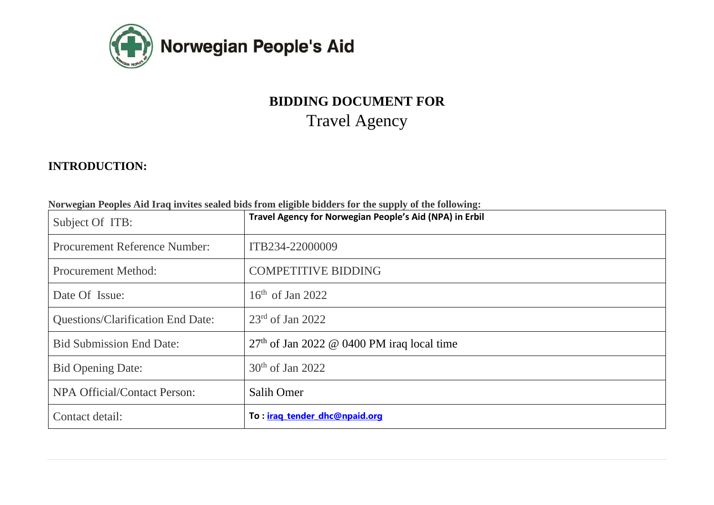

# **BIDDING DOCUMENT FOR**  Travel Agency

# **INTRODUCTION:**

|  | Norwegian Peoples Aid Iraq invites sealed bids from eligible bidders for the supply of the following: |  |
|--|-------------------------------------------------------------------------------------------------------|--|
|--|-------------------------------------------------------------------------------------------------------|--|

| Subject Of ITB:                          | . . <b>.</b><br>Travel Agency for Norwegian People's Aid (NPA) in Erbil |
|------------------------------------------|-------------------------------------------------------------------------|
| <b>Procurement Reference Number:</b>     | ITB234-22000009                                                         |
| <b>Procurement Method:</b>               | <b>COMPETITIVE BIDDING</b>                                              |
| Date Of Issue:                           | $16th$ of Jan 2022                                                      |
| <b>Questions/Clarification End Date:</b> | $23rd$ of Jan 2022                                                      |
| <b>Bid Submission End Date:</b>          | $27th$ of Jan 2022 @ 0400 PM iraq local time                            |
| <b>Bid Opening Date:</b>                 | $30th$ of Jan 2022                                                      |
| NPA Official/Contact Person:             | Salih Omer                                                              |
| Contact detail:                          | To: <i>iraq tender dhc@npaid.org</i>                                    |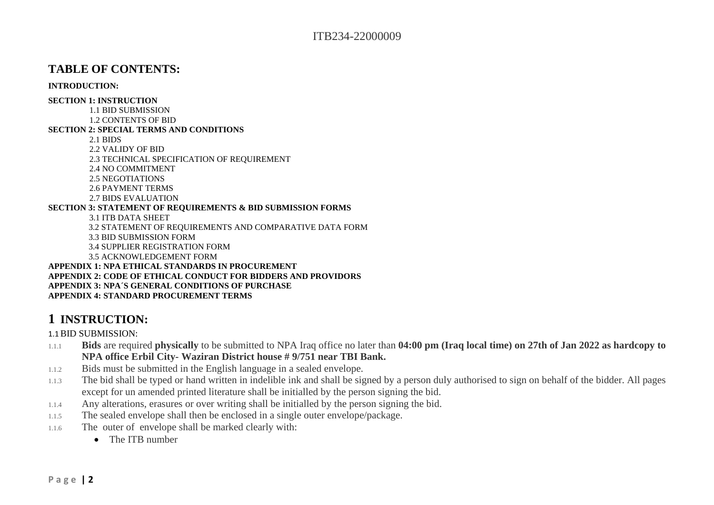### **TABLE OF CONTENTS:**

#### **INTRODUCTION:**

#### **SECTION 1: INSTRUCTION**

1.1 BID SUBMISSION

1.2 CONTENTS OF BID

#### **SECTION 2: SPECIAL TERMS AND CONDITIONS**

2.1 BIDS

2.2 VALIDY OF BID

2.3 TECHNICAL SPECIFICATION OF REQUIREMENT

2.4 NO COMMITMENT

2.5 NEGOTIATIONS

2.6 PAYMENT TERMS

2.7 BIDS EVALUATION

#### **SECTION 3: STATEMENT OF REQUIREMENTS & BID SUBMISSION FORMS**

3.1 ITB DATA SHEET

3.2 STATEMENT OF REQUIREMENTS AND COMPARATIVE DATA FORM

3.3 BID SUBMISSION FORM

3.4 SUPPLIER REGISTRATION FORM

3.5 ACKNOWLEDGEMENT FORM

**APPENDIX 1: NPA ETHICAL STANDARDS IN PROCUREMENT APPENDIX 2: CODE OF ETHICAL CONDUCT FOR BIDDERS AND PROVIDORS APPENDIX 3: NPA´S GENERAL CONDITIONS OF PURCHASE APPENDIX 4: STANDARD PROCUREMENT TERMS**

# **1 INSTRUCTION:**

1.1BID SUBMISSION:

- 1.1.1 **Bids** are required **physically** to be submitted to NPA Iraq office no later than **04:00 pm (Iraq local time) on 27th of Jan 2022 as hardcopy to NPA office Erbil City- Waziran District house # 9/751 near TBI Bank.**
- 1.1.2 Bids must be submitted in the English language in a sealed envelope.
- 1.1.3 The bid shall be typed or hand written in indelible ink and shall be signed by a person duly authorised to sign on behalf of the bidder. All pages except for un amended printed literature shall be initialled by the person signing the bid.
- 1.1.4 Any alterations, erasures or over writing shall be initialled by the person signing the bid.
- 1.1.5 The sealed envelope shall then be enclosed in a single outer envelope/package.
- 1.1.6 The outer of envelope shall be marked clearly with:
	- The ITB number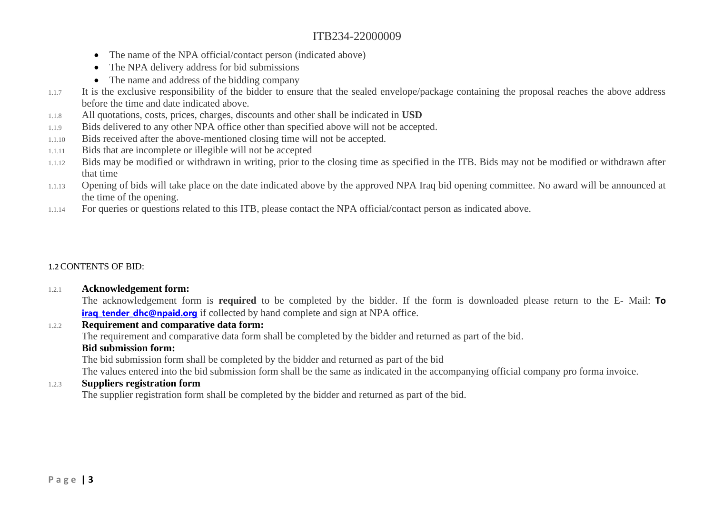- The name of the NPA official/contact person (indicated above)
- The NPA delivery address for bid submissions
- The name and address of the bidding company
- 1.1.7 It is the exclusive responsibility of the bidder to ensure that the sealed envelope/package containing the proposal reaches the above address before the time and date indicated above.
- 1.1.8 All quotations, costs, prices, charges, discounts and other shall be indicated in **USD**
- 1.1.9 Bids delivered to any other NPA office other than specified above will not be accepted.
- 1.1.10 Bids received after the above-mentioned closing time will not be accepted.
- 1.1.11 Bids that are incomplete or illegible will not be accepted
- 1.1.12 Bids may be modified or withdrawn in writing, prior to the closing time as specified in the ITB. Bids may not be modified or withdrawn after that time
- 1.1.13 Opening of bids will take place on the date indicated above by the approved NPA Iraq bid opening committee. No award will be announced at the time of the opening.
- 1.1.14 For queries or questions related to this ITB, please contact the NPA official/contact person as indicated above.

### 1.2CONTENTS OF BID:

### 1.2.1 **Acknowledgement form:**

The acknowledgement form is **required** to be completed by the bidder. If the form is downloaded please return to the E- Mail: **To irag tender dhc@npaid.org** if collected by hand complete and sign at NPA office.

### 1.2.2 **Requirement and comparative data form:**

The requirement and comparative data form shall be completed by the bidder and returned as part of the bid.

### **Bid submission form:**

The bid submission form shall be completed by the bidder and returned as part of the bid

The values entered into the bid submission form shall be the same as indicated in the accompanying official company pro forma invoice.

### 1.2.3 **Suppliers registration form**

The supplier registration form shall be completed by the bidder and returned as part of the bid.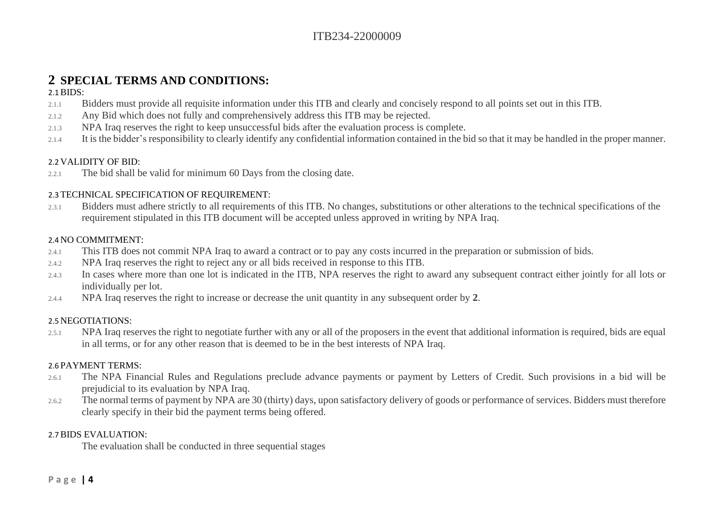# **2 SPECIAL TERMS AND CONDITIONS:**

### $2.1$  BIDS:

- 2.1.1 Bidders must provide all requisite information under this ITB and clearly and concisely respond to all points set out in this ITB.
- 2.1.2 Any Bid which does not fully and comprehensively address this ITB may be rejected.
- 2.1.3 NPA Iraq reserves the right to keep unsuccessful bids after the evaluation process is complete.
- 2.1.4 It is the bidder's responsibility to clearly identify any confidential information contained in the bid so that it may be handled in the proper manner.

### 2.2 VALIDITY OF BID:

2.2.1 The bid shall be valid for minimum 60 Days from the closing date.

### 2.3 TECHNICAL SPECIFICATION OF REQUIREMENT:

2.3.1 Bidders must adhere strictly to all requirements of this ITB. No changes, substitutions or other alterations to the technical specifications of the requirement stipulated in this ITB document will be accepted unless approved in writing by NPA Iraq.

### 2.4 NO COMMITMENT:

- 2.4.1 This ITB does not commit NPA Iraq to award a contract or to pay any costs incurred in the preparation or submission of bids.
- 2.4.2 NPA Iraq reserves the right to reject any or all bids received in response to this ITB.
- 2.4.3 In cases where more than one lot is indicated in the ITB, NPA reserves the right to award any subsequent contract either jointly for all lots or individually per lot.
- 2.4.4 NPA Iraq reserves the right to increase or decrease the unit quantity in any subsequent order by **2**.

### 2.5 NEGOTIATIONS:

2.5.1 NPA Iraq reserves the right to negotiate further with any or all of the proposers in the event that additional information is required, bids are equal in all terms, or for any other reason that is deemed to be in the best interests of NPA Iraq.

### 2.6 PAYMENT TERMS:

- 2.6.1 The NPA Financial Rules and Regulations preclude advance payments or payment by Letters of Credit. Such provisions in a bid will be prejudicial to its evaluation by NPA Iraq.
- 2.6.2 The normal terms of payment by NPA are 30 (thirty) days, upon satisfactory delivery of goods or performance of services. Bidders must therefore clearly specify in their bid the payment terms being offered.

### 2.7BIDS EVALUATION:

The evaluation shall be conducted in three sequential stages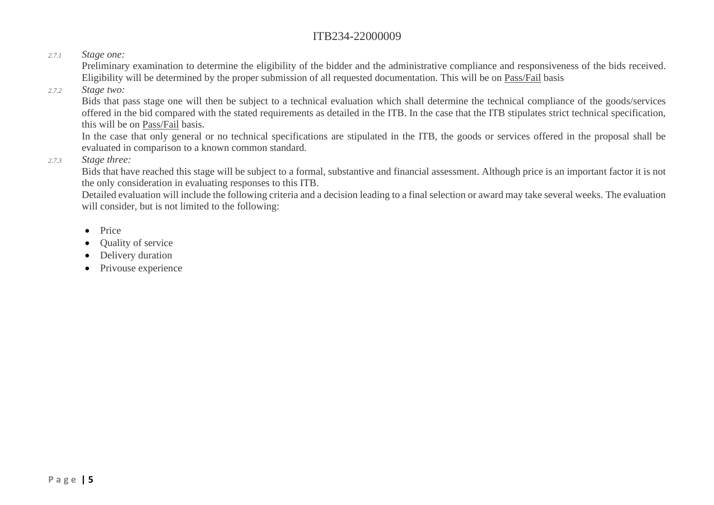### *2.7.1 Stage one:*

Preliminary examination to determine the eligibility of the bidder and the administrative compliance and responsiveness of the bids received. Eligibility will be determined by the proper submission of all requested documentation. This will be on Pass/Fail basis

### *2.7.2 Stage two:*

Bids that pass stage one will then be subject to a technical evaluation which shall determine the technical compliance of the goods/services offered in the bid compared with the stated requirements as detailed in the ITB. In the case that the ITB stipulates strict technical specification, this will be on Pass/Fail basis.

In the case that only general or no technical specifications are stipulated in the ITB, the goods or services offered in the proposal shall be evaluated in comparison to a known common standard.

### *2.7.3 Stage three:*

Bids that have reached this stage will be subject to a formal, substantive and financial assessment. Although price is an important factor it is not the only consideration in evaluating responses to this ITB.

Detailed evaluation will include the following criteria and a decision leading to a final selection or award may take several weeks. The evaluation will consider, but is not limited to the following:

- Price
- Quality of service
- Delivery duration
- Privouse experience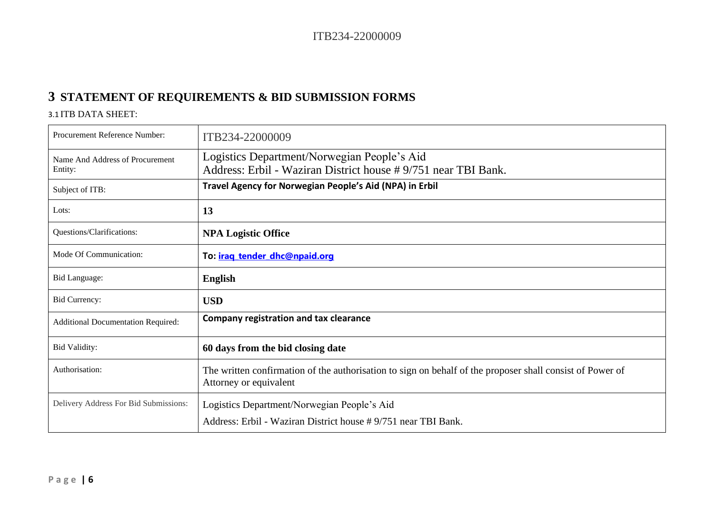# **3 STATEMENT OF REQUIREMENTS & BID SUBMISSION FORMS**

### 3.1 ITB DATA SHEET:

| Procurement Reference Number:              | ITB234-22000009                                                                                                                     |
|--------------------------------------------|-------------------------------------------------------------------------------------------------------------------------------------|
| Name And Address of Procurement<br>Entity: | Logistics Department/Norwegian People's Aid<br>Address: Erbil - Waziran District house #9/751 near TBI Bank.                        |
| Subject of ITB:                            | Travel Agency for Norwegian People's Aid (NPA) in Erbil                                                                             |
| Lots:                                      | 13                                                                                                                                  |
| Questions/Clarifications:                  | <b>NPA Logistic Office</b>                                                                                                          |
| Mode Of Communication:                     | To: <i>iraq tender dhc@npaid.org</i>                                                                                                |
| Bid Language:                              | <b>English</b>                                                                                                                      |
| <b>Bid Currency:</b>                       | <b>USD</b>                                                                                                                          |
| <b>Additional Documentation Required:</b>  | <b>Company registration and tax clearance</b>                                                                                       |
| <b>Bid Validity:</b>                       | 60 days from the bid closing date                                                                                                   |
| Authorisation:                             | The written confirmation of the authorisation to sign on behalf of the proposer shall consist of Power of<br>Attorney or equivalent |
| Delivery Address For Bid Submissions:      | Logistics Department/Norwegian People's Aid                                                                                         |
|                                            | Address: Erbil - Waziran District house #9/751 near TBI Bank.                                                                       |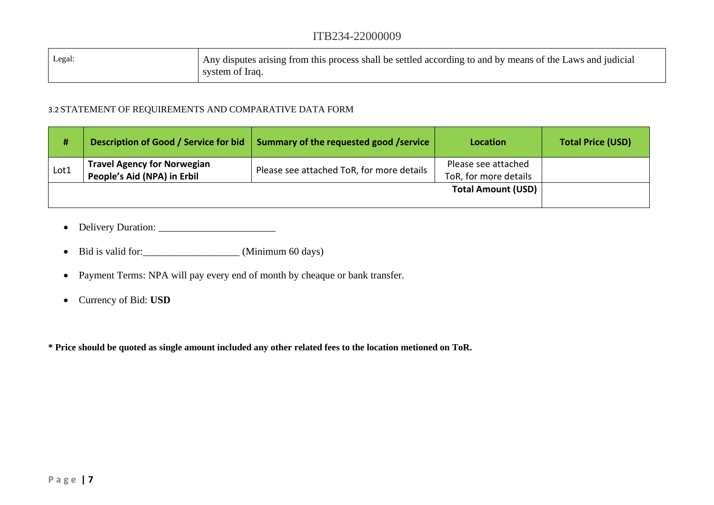| Legal: | Any disputes arising from this process shall be settled according to and by means of the Laws and judicial |
|--------|------------------------------------------------------------------------------------------------------------|
|        | system of Iraq.                                                                                            |

### 3.2 STATEMENT OF REQUIREMENTS AND COMPARATIVE DATA FORM

| #    | Description of Good / Service for bid                             | Summary of the requested good /service    | Location                                     | <b>Total Price (USD)</b> |
|------|-------------------------------------------------------------------|-------------------------------------------|----------------------------------------------|--------------------------|
| Lot1 | <b>Travel Agency for Norwegian</b><br>People's Aid (NPA) in Erbil | Please see attached ToR, for more details | Please see attached<br>ToR, for more details |                          |
|      |                                                                   |                                           | <b>Total Amount (USD)</b>                    |                          |

- Delivery Duration: \_\_\_\_\_\_\_\_\_\_\_\_\_\_\_\_\_\_\_\_\_\_\_
- Bid is valid for: \_\_\_\_\_\_\_\_\_\_\_\_\_\_\_\_\_\_\_\_\_\_ (Minimum 60 days)
- Payment Terms: NPA will pay every end of month by cheaque or bank transfer.
- Currency of Bid: **USD**

**\* Price should be quoted as single amount included any other related fees to the location metioned on ToR.**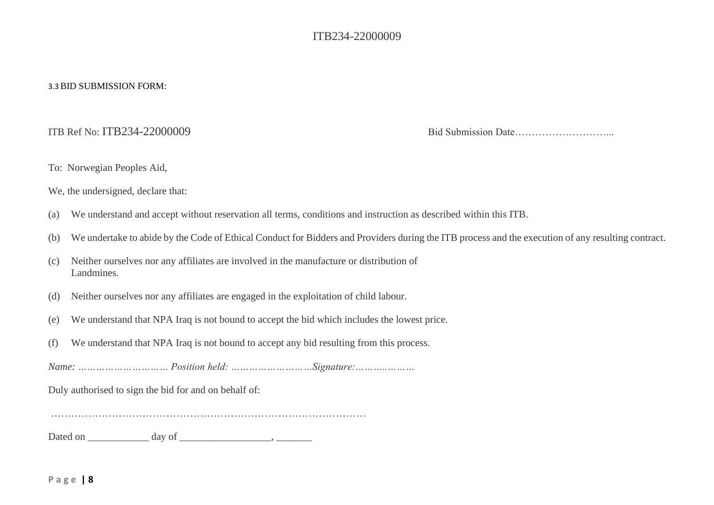#### 3.3BID SUBMISSION FORM:

ITB Ref No: ITB234-22000009 Bid Submission Date………………………...

- To: Norwegian Peoples Aid,
- We, the undersigned, declare that:
- (a) We understand and accept without reservation all terms, conditions and instruction as described within this ITB.
- (b) We undertake to abide by the Code of Ethical Conduct for Bidders and Providers during the ITB process and the execution of any resulting contract.
- (c) Neither ourselves nor any affiliates are involved in the manufacture or distribution of Landmines.
- (d) Neither ourselves nor any affiliates are engaged in the exploitation of child labour.
- (e) We understand that NPA Iraq is not bound to accept the bid which includes the lowest price.
- (f) We understand that NPA Iraq is not bound to accept any bid resulting from this process.

*Name: ………………………… Position held: ………………………Signature:………..………*

Duly authorised to sign the bid for and on behalf of:

…………………………………………………………………………………

Dated on \_\_\_\_\_\_\_\_\_\_\_\_ day of \_\_\_\_\_\_\_\_\_\_\_\_\_\_\_\_\_\_, \_\_\_\_\_\_\_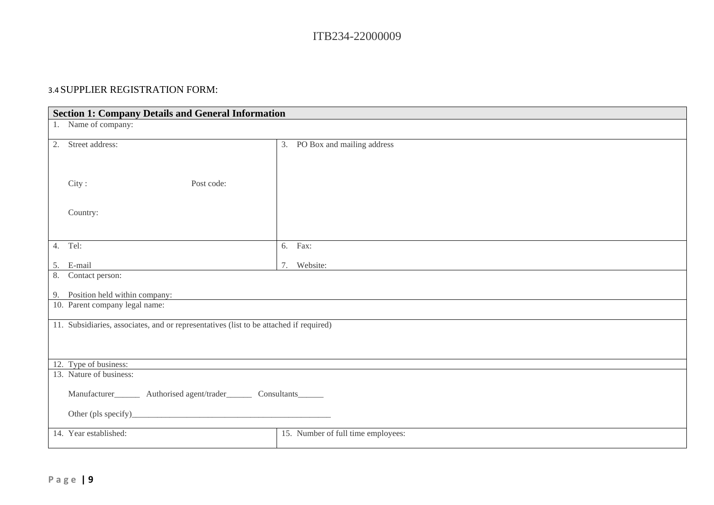### 3.4 SUPPLIER REGISTRATION FORM:

| <b>Section 1: Company Details and General Information</b>                              |                                    |  |  |
|----------------------------------------------------------------------------------------|------------------------------------|--|--|
| 1. Name of company:                                                                    |                                    |  |  |
| 2. Street address:                                                                     | 3. PO Box and mailing address      |  |  |
| City:<br>Post code:                                                                    |                                    |  |  |
| Country:                                                                               |                                    |  |  |
| 4. Tel:                                                                                | 6. Fax:                            |  |  |
| 5. E-mail                                                                              | Website:<br>7.                     |  |  |
| 8. Contact person:                                                                     |                                    |  |  |
| 9. Position held within company:                                                       |                                    |  |  |
| 10. Parent company legal name:                                                         |                                    |  |  |
| 11. Subsidiaries, associates, and or representatives (list to be attached if required) |                                    |  |  |
| 12. Type of business:                                                                  |                                    |  |  |
| 13. Nature of business:                                                                |                                    |  |  |
| Manufacturer__________ Authorised agent/trader__________ Consultants________           |                                    |  |  |
|                                                                                        |                                    |  |  |
| 14. Year established:                                                                  | 15. Number of full time employees: |  |  |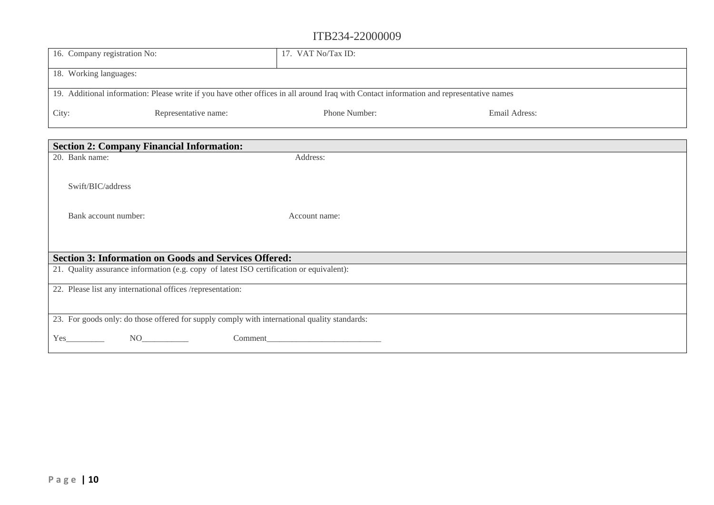| 16. Company registration No:                                                                                                            |                      | 17. VAT No/Tax ID: |               |
|-----------------------------------------------------------------------------------------------------------------------------------------|----------------------|--------------------|---------------|
| 18. Working languages:                                                                                                                  |                      |                    |               |
| 19. Additional information: Please write if you have other offices in all around Iraq with Contact information and representative names |                      |                    |               |
| City:                                                                                                                                   | Representative name: | Phone Number:      | Email Adress: |

| <b>Section 2: Company Financial Information:</b>                                             |               |  |  |
|----------------------------------------------------------------------------------------------|---------------|--|--|
| 20. Bank name:                                                                               | Address:      |  |  |
|                                                                                              |               |  |  |
| Swift/BIC/address                                                                            |               |  |  |
| Bank account number:                                                                         | Account name: |  |  |
|                                                                                              |               |  |  |
| <b>Section 3: Information on Goods and Services Offered:</b>                                 |               |  |  |
| 21. Quality assurance information (e.g. copy of latest ISO certification or equivalent):     |               |  |  |
| 22. Please list any international offices /representation:                                   |               |  |  |
|                                                                                              |               |  |  |
| 23. For goods only: do those offered for supply comply with international quality standards: |               |  |  |
| Yes<br>NO <sub>1</sub><br>Comment                                                            |               |  |  |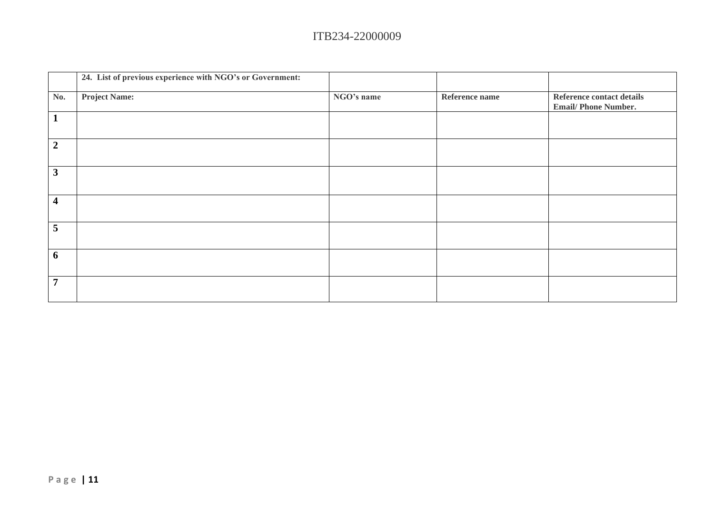|                         | 24. List of previous experience with NGO's or Government: |            |                |                                                         |
|-------------------------|-----------------------------------------------------------|------------|----------------|---------------------------------------------------------|
| No.                     | <b>Project Name:</b>                                      | NGO's name | Reference name | Reference contact details<br><b>Email/Phone Number.</b> |
|                         |                                                           |            |                |                                                         |
| $\overline{2}$          |                                                           |            |                |                                                         |
| $\overline{\mathbf{3}}$ |                                                           |            |                |                                                         |
| $\overline{\mathbf{4}}$ |                                                           |            |                |                                                         |
| 5                       |                                                           |            |                |                                                         |
| 6                       |                                                           |            |                |                                                         |
| $\overline{7}$          |                                                           |            |                |                                                         |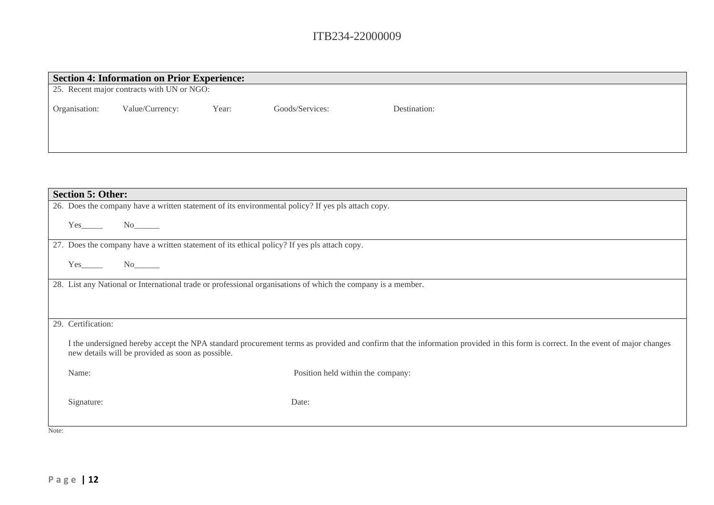|               | <b>Section 4: Information on Prior Experience:</b> |       |                 |              |  |
|---------------|----------------------------------------------------|-------|-----------------|--------------|--|
|               | 25. Recent major contracts with UN or NGO:         |       |                 |              |  |
| Organisation: | Value/Currency:                                    | Year: | Goods/Services: | Destination: |  |

| <b>Section 5: Other:</b>                                                                                                                                                                                                             |
|--------------------------------------------------------------------------------------------------------------------------------------------------------------------------------------------------------------------------------------|
| 26. Does the company have a written statement of its environmental policy? If yes pls attach copy.                                                                                                                                   |
| Yes<br>No new years of the New York of the New York of the New York of the New York of the New York of the New York o                                                                                                                |
| 27. Does the company have a written statement of its ethical policy? If yes pls attach copy.                                                                                                                                         |
| $Yes$ <sub>_______</sub>                                                                                                                                                                                                             |
| 28. List any National or International trade or professional organisations of which the company is a member.                                                                                                                         |
|                                                                                                                                                                                                                                      |
|                                                                                                                                                                                                                                      |
| 29. Certification:                                                                                                                                                                                                                   |
| I the undersigned hereby accept the NPA standard procurement terms as provided and confirm that the information provided in this form is correct. In the event of major changes<br>new details will be provided as soon as possible. |
| Position held within the company:<br>Name:                                                                                                                                                                                           |
|                                                                                                                                                                                                                                      |
| Signature:<br>Date:                                                                                                                                                                                                                  |
|                                                                                                                                                                                                                                      |
| Note:                                                                                                                                                                                                                                |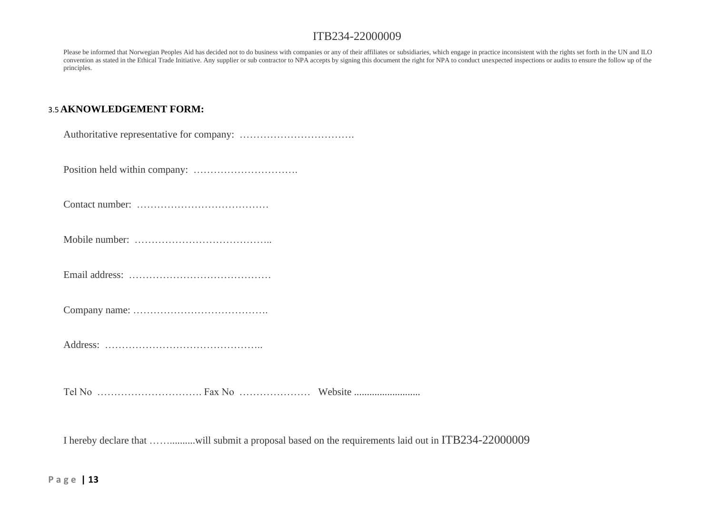Please be informed that Norwegian Peoples Aid has decided not to do business with companies or any of their affiliates or subsidiaries, which engage in practice inconsistent with the rights set forth in the UN and ILO convention as stated in the Ethical Trade Initiative. Any supplier or sub contractor to NPA accepts by signing this document the right for NPA to conduct unexpected inspections or audits to ensure the follow up of the principles.

### 3.5 **AKNOWLEDGEMENT FORM:**

|--|--|

Position held within company: ………………………….

Contact number: …………………………………

Mobile number: …………………………………..

Email address: ……………………………………

Company name: ………………………………….

Address: ………………………………………..

Tel No …………………………. Fax No ………………… Website ..........................

I hereby declare that ……..........will submit a proposal based on the requirements laid out in ITB234-22000009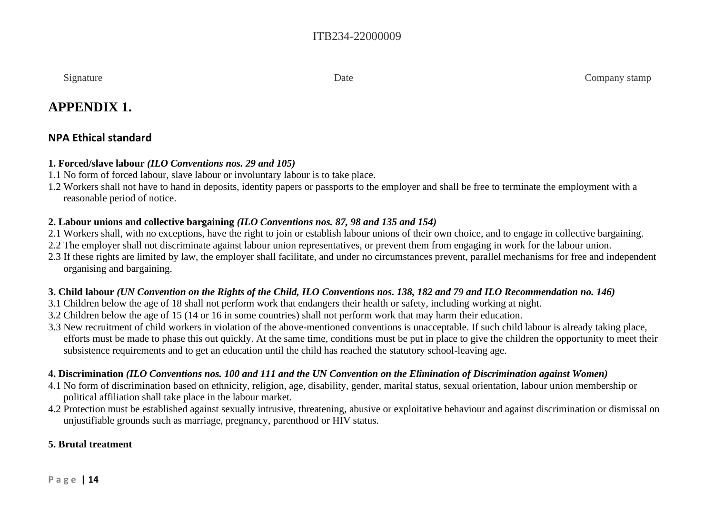Signature Company stamp

# **APPENDIX 1.**

# **NPA Ethical standard**

### **1. Forced/slave labour** *(ILO Conventions nos. 29 and 105)*

- 1.1 No form of forced labour, slave labour or involuntary labour is to take place.
- 1.2 Workers shall not have to hand in deposits, identity papers or passports to the employer and shall be free to terminate the employment with a reasonable period of notice.

### **2. Labour unions and collective bargaining** *(ILO Conventions nos. 87, 98 and 135 and 154)*

- 2.1 Workers shall, with no exceptions, have the right to join or establish labour unions of their own choice, and to engage in collective bargaining.
- 2.2 The employer shall not discriminate against labour union representatives, or prevent them from engaging in work for the labour union.
- 2.3 If these rights are limited by law, the employer shall facilitate, and under no circumstances prevent, parallel mechanisms for free and independent organising and bargaining.

# **3. Child labour** *(UN Convention on the Rights of the Child, ILO Conventions nos. 138, 182 and 79 and ILO Recommendation no. 146)*

- 3.1 Children below the age of 18 shall not perform work that endangers their health or safety, including working at night.
- 3.2 Children below the age of 15 (14 or 16 in some countries) shall not perform work that may harm their education.
- 3.3 New recruitment of child workers in violation of the above-mentioned conventions is unacceptable. If such child labour is already taking place, efforts must be made to phase this out quickly. At the same time, conditions must be put in place to give the children the opportunity to meet their subsistence requirements and to get an education until the child has reached the statutory school-leaving age.

# **4. Discrimination** *(ILO Conventions nos. 100 and 111 and the UN Convention on the Elimination of Discrimination against Women)*

- 4.1 No form of discrimination based on ethnicity, religion, age, disability, gender, marital status, sexual orientation, labour union membership or political affiliation shall take place in the labour market.
- 4.2 Protection must be established against sexually intrusive, threatening, abusive or exploitative behaviour and against discrimination or dismissal on unjustifiable grounds such as marriage, pregnancy, parenthood or HIV status.

# **5. Brutal treatment**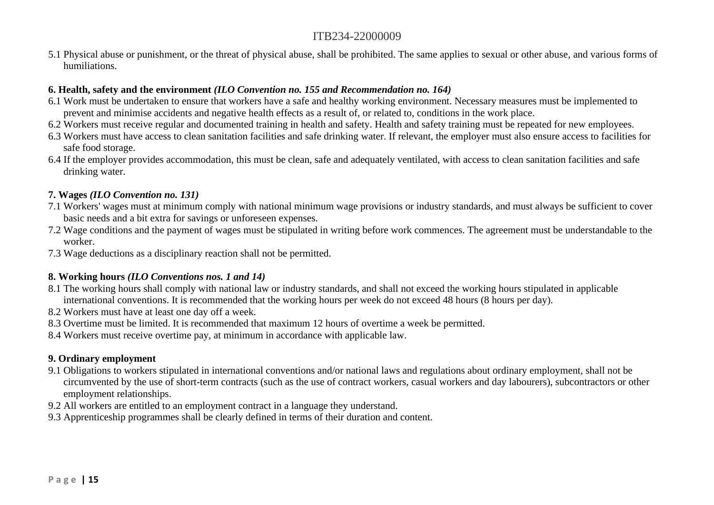5.1 Physical abuse or punishment, or the threat of physical abuse, shall be prohibited. The same applies to sexual or other abuse, and various forms of humiliations.

### **6. Health, safety and the environment** *(ILO Convention no. 155 and Recommendation no. 164)*

- 6.1 Work must be undertaken to ensure that workers have a safe and healthy working environment. Necessary measures must be implemented to prevent and minimise accidents and negative health effects as a result of, or related to, conditions in the work place.
- 6.2 Workers must receive regular and documented training in health and safety. Health and safety training must be repeated for new employees.
- 6.3 Workers must have access to clean sanitation facilities and safe drinking water. If relevant, the employer must also ensure access to facilities for safe food storage.
- 6.4 If the employer provides accommodation, this must be clean, safe and adequately ventilated, with access to clean sanitation facilities and safe drinking water.

### **7. Wages** *(ILO Convention no. 131)*

- 7.1 Workers' wages must at minimum comply with national minimum wage provisions or industry standards, and must always be sufficient to cover basic needs and a bit extra for savings or unforeseen expenses.
- 7.2 Wage conditions and the payment of wages must be stipulated in writing before work commences. The agreement must be understandable to the worker.
- 7.3 Wage deductions as a disciplinary reaction shall not be permitted.

### **8. Working hours** *(ILO Conventions nos. 1 and 14)*

- 8.1 The working hours shall comply with national law or industry standards, and shall not exceed the working hours stipulated in applicable international conventions. It is recommended that the working hours per week do not exceed 48 hours (8 hours per day).
- 8.2 Workers must have at least one day off a week.
- 8.3 Overtime must be limited. It is recommended that maximum 12 hours of overtime a week be permitted.
- 8.4 Workers must receive overtime pay, at minimum in accordance with applicable law.

### **9. Ordinary employment**

- 9.1 Obligations to workers stipulated in international conventions and/or national laws and regulations about ordinary employment, shall not be circumvented by the use of short-term contracts (such as the use of contract workers, casual workers and day labourers), subcontractors or other employment relationships.
- 9.2 All workers are entitled to an employment contract in a language they understand.
- 9.3 Apprenticeship programmes shall be clearly defined in terms of their duration and content.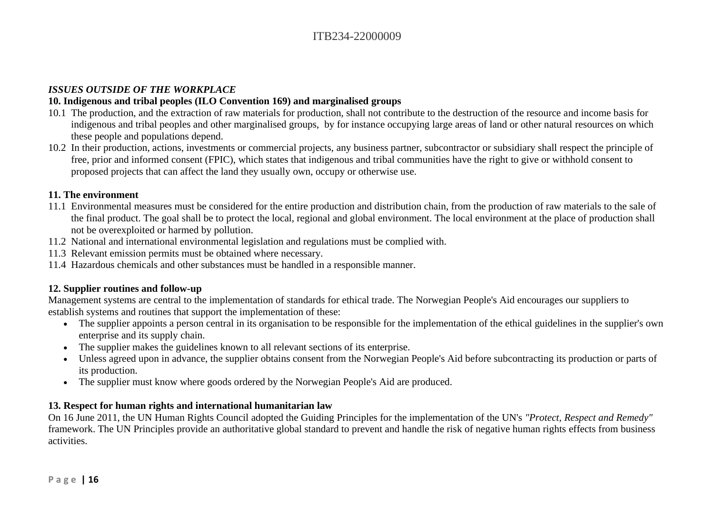### *ISSUES OUTSIDE OF THE WORKPLACE*

### **10. Indigenous and tribal peoples (ILO Convention 169) and marginalised groups**

- 10.1 The production, and the extraction of raw materials for production, shall not contribute to the destruction of the resource and income basis for indigenous and tribal peoples and other marginalised groups, by for instance occupying large areas of land or other natural resources on which these people and populations depend.
- 10.2 In their production, actions, investments or commercial projects, any business partner, subcontractor or subsidiary shall respect the principle of free, prior and informed consent (FPIC), which states that indigenous and tribal communities have the right to give or withhold consent to proposed projects that can affect the land they usually own, occupy or otherwise use.

### **11. The environment**

- 11.1 Environmental measures must be considered for the entire production and distribution chain, from the production of raw materials to the sale of the final product. The goal shall be to protect the local, regional and global environment. The local environment at the place of production shall not be overexploited or harmed by pollution.
- 11.2 National and international environmental legislation and regulations must be complied with.
- 11.3 Relevant emission permits must be obtained where necessary.
- 11.4 Hazardous chemicals and other substances must be handled in a responsible manner.

### **12. Supplier routines and follow-up**

Management systems are central to the implementation of standards for ethical trade. The Norwegian People's Aid encourages our suppliers to establish systems and routines that support the implementation of these:

- The supplier appoints a person central in its organisation to be responsible for the implementation of the ethical guidelines in the supplier's own enterprise and its supply chain.
- The supplier makes the guidelines known to all relevant sections of its enterprise.
- Unless agreed upon in advance, the supplier obtains consent from the Norwegian People's Aid before subcontracting its production or parts of its production.
- The supplier must know where goods ordered by the Norwegian People's Aid are produced.

### **13. Respect for human rights and international humanitarian law**

On 16 June 2011, the UN Human Rights Council adopted the Guiding Principles for the implementation of the UN's *"Protect, Respect and Remedy"* framework. The UN Principles provide an authoritative global standard to prevent and handle the risk of negative human rights effects from business activities.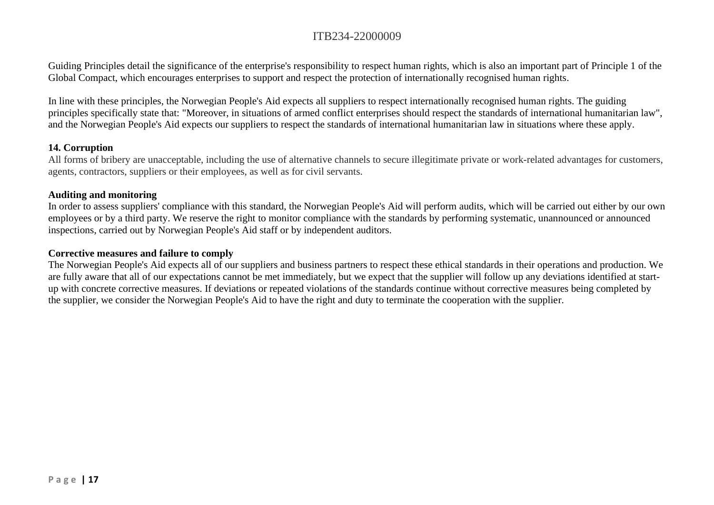Guiding Principles detail the significance of the enterprise's responsibility to respect human rights, which is also an important part of Principle 1 of the Global Compact, which encourages enterprises to support and respect the protection of internationally recognised human rights.

In line with these principles, the Norwegian People's Aid expects all suppliers to respect internationally recognised human rights. The guiding principles specifically state that: "Moreover, in situations of armed conflict enterprises should respect the standards of international humanitarian law", and the Norwegian People's Aid expects our suppliers to respect the standards of international humanitarian law in situations where these apply.

#### **14. Corruption**

All forms of bribery are unacceptable, including the use of alternative channels to secure illegitimate private or work-related advantages for customers, agents, contractors, suppliers or their employees, as well as for civil servants.

#### **Auditing and monitoring**

In order to assess suppliers' compliance with this standard, the Norwegian People's Aid will perform audits, which will be carried out either by our own employees or by a third party. We reserve the right to monitor compliance with the standards by performing systematic, unannounced or announced inspections, carried out by Norwegian People's Aid staff or by independent auditors.

#### **Corrective measures and failure to comply**

The Norwegian People's Aid expects all of our suppliers and business partners to respect these ethical standards in their operations and production. We are fully aware that all of our expectations cannot be met immediately, but we expect that the supplier will follow up any deviations identified at startup with concrete corrective measures. If deviations or repeated violations of the standards continue without corrective measures being completed by the supplier, we consider the Norwegian People's Aid to have the right and duty to terminate the cooperation with the supplier.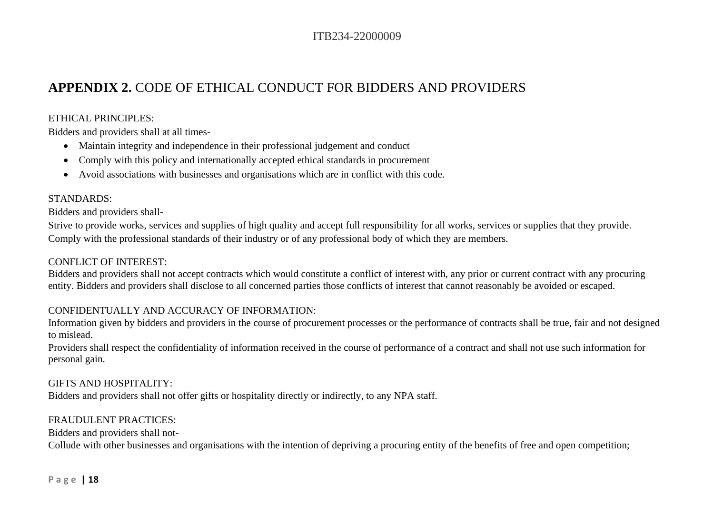# **APPENDIX 2.** CODE OF ETHICAL CONDUCT FOR BIDDERS AND PROVIDERS

### ETHICAL PRINCIPLES:

Bidders and providers shall at all times-

- Maintain integrity and independence in their professional judgement and conduct
- Comply with this policy and internationally accepted ethical standards in procurement
- Avoid associations with businesses and organisations which are in conflict with this code.

### STANDARDS:

Bidders and providers shall-

Strive to provide works, services and supplies of high quality and accept full responsibility for all works, services or supplies that they provide. Comply with the professional standards of their industry or of any professional body of which they are members.

### CONFLICT OF INTEREST:

Bidders and providers shall not accept contracts which would constitute a conflict of interest with, any prior or current contract with any procuring entity. Bidders and providers shall disclose to all concerned parties those conflicts of interest that cannot reasonably be avoided or escaped.

### CONFIDENTUALLY AND ACCURACY OF INFORMATION:

Information given by bidders and providers in the course of procurement processes or the performance of contracts shall be true, fair and not designed to mislead.

Providers shall respect the confidentiality of information received in the course of performance of a contract and shall not use such information for personal gain.

### GIFTS AND HOSPITALITY:

Bidders and providers shall not offer gifts or hospitality directly or indirectly, to any NPA staff.

### FRAUDULENT PRACTICES:

Bidders and providers shall not-

Collude with other businesses and organisations with the intention of depriving a procuring entity of the benefits of free and open competition;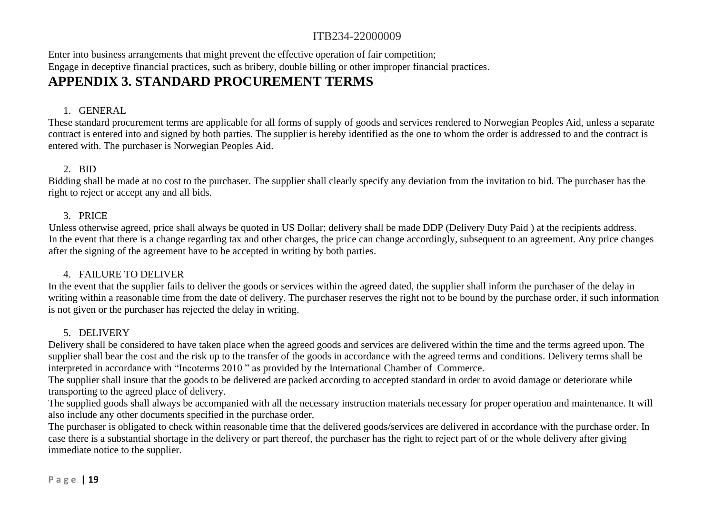Enter into business arrangements that might prevent the effective operation of fair competition; Engage in deceptive financial practices, such as bribery, double billing or other improper financial practices.

# **APPENDIX 3. STANDARD PROCUREMENT TERMS**

### 1. GENERAL

These standard procurement terms are applicable for all forms of supply of goods and services rendered to Norwegian Peoples Aid, unless a separate contract is entered into and signed by both parties. The supplier is hereby identified as the one to whom the order is addressed to and the contract is entered with. The purchaser is Norwegian Peoples Aid.

### 2. BID

Bidding shall be made at no cost to the purchaser. The supplier shall clearly specify any deviation from the invitation to bid. The purchaser has the right to reject or accept any and all bids.

### 3. PRICE

Unless otherwise agreed, price shall always be quoted in US Dollar; delivery shall be made DDP (Delivery Duty Paid ) at the recipients address. In the event that there is a change regarding tax and other charges, the price can change accordingly, subsequent to an agreement. Any price changes after the signing of the agreement have to be accepted in writing by both parties.

### 4. FAILURE TO DELIVER

In the event that the supplier fails to deliver the goods or services within the agreed dated, the supplier shall inform the purchaser of the delay in writing within a reasonable time from the date of delivery. The purchaser reserves the right not to be bound by the purchase order, if such information is not given or the purchaser has rejected the delay in writing.

### 5. DELIVERY

Delivery shall be considered to have taken place when the agreed goods and services are delivered within the time and the terms agreed upon. The supplier shall bear the cost and the risk up to the transfer of the goods in accordance with the agreed terms and conditions. Delivery terms shall be interpreted in accordance with "Incoterms 2010 " as provided by the International Chamber of Commerce.

The supplier shall insure that the goods to be delivered are packed according to accepted standard in order to avoid damage or deteriorate while transporting to the agreed place of delivery.

The supplied goods shall always be accompanied with all the necessary instruction materials necessary for proper operation and maintenance. It will also include any other documents specified in the purchase order.

The purchaser is obligated to check within reasonable time that the delivered goods/services are delivered in accordance with the purchase order. In case there is a substantial shortage in the delivery or part thereof, the purchaser has the right to reject part of or the whole delivery after giving immediate notice to the supplier.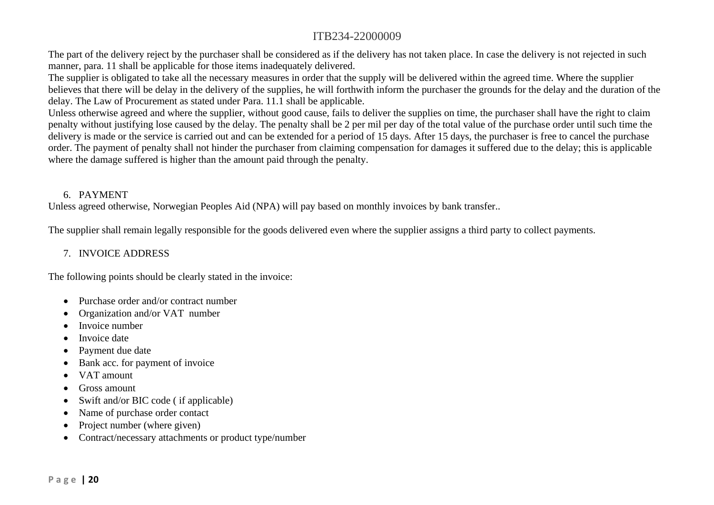The part of the delivery reject by the purchaser shall be considered as if the delivery has not taken place. In case the delivery is not rejected in such manner, para. 11 shall be applicable for those items inadequately delivered.

The supplier is obligated to take all the necessary measures in order that the supply will be delivered within the agreed time. Where the supplier believes that there will be delay in the delivery of the supplies, he will forthwith inform the purchaser the grounds for the delay and the duration of the delay. The Law of Procurement as stated under Para. 11.1 shall be applicable.

Unless otherwise agreed and where the supplier, without good cause, fails to deliver the supplies on time, the purchaser shall have the right to claim penalty without justifying lose caused by the delay. The penalty shall be 2 per mil per day of the total value of the purchase order until such time the delivery is made or the service is carried out and can be extended for a period of 15 days. After 15 days, the purchaser is free to cancel the purchase order. The payment of penalty shall not hinder the purchaser from claiming compensation for damages it suffered due to the delay; this is applicable where the damage suffered is higher than the amount paid through the penalty.

### 6. PAYMENT

Unless agreed otherwise, Norwegian Peoples Aid (NPA) will pay based on monthly invoices by bank transfer..

The supplier shall remain legally responsible for the goods delivered even where the supplier assigns a third party to collect payments.

### 7. INVOICE ADDRESS

The following points should be clearly stated in the invoice:

- Purchase order and/or contract number
- Organization and/or VAT number
- Invoice number
- Invoice date
- Payment due date
- Bank acc. for payment of invoice
- VAT amount
- Gross amount
- Swift and/or BIC code (if applicable)
- Name of purchase order contact
- Project number (where given)
- Contract/necessary attachments or product type/number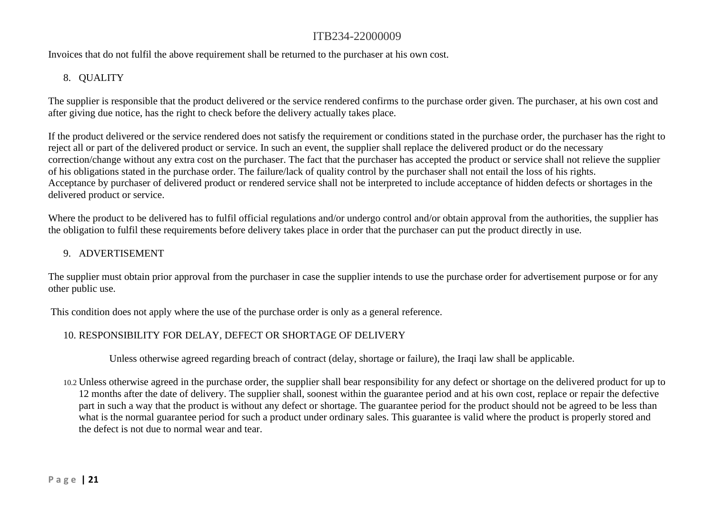Invoices that do not fulfil the above requirement shall be returned to the purchaser at his own cost.

### 8. QUALITY

The supplier is responsible that the product delivered or the service rendered confirms to the purchase order given. The purchaser, at his own cost and after giving due notice, has the right to check before the delivery actually takes place.

If the product delivered or the service rendered does not satisfy the requirement or conditions stated in the purchase order, the purchaser has the right to reject all or part of the delivered product or service. In such an event, the supplier shall replace the delivered product or do the necessary correction/change without any extra cost on the purchaser. The fact that the purchaser has accepted the product or service shall not relieve the supplier of his obligations stated in the purchase order. The failure/lack of quality control by the purchaser shall not entail the loss of his rights. Acceptance by purchaser of delivered product or rendered service shall not be interpreted to include acceptance of hidden defects or shortages in the delivered product or service.

Where the product to be delivered has to fulfil official regulations and/or undergo control and/or obtain approval from the authorities, the supplier has the obligation to fulfil these requirements before delivery takes place in order that the purchaser can put the product directly in use.

### 9. ADVERTISEMENT

The supplier must obtain prior approval from the purchaser in case the supplier intends to use the purchase order for advertisement purpose or for any other public use.

This condition does not apply where the use of the purchase order is only as a general reference.

### 10. RESPONSIBILITY FOR DELAY, DEFECT OR SHORTAGE OF DELIVERY

Unless otherwise agreed regarding breach of contract (delay, shortage or failure), the Iraqi law shall be applicable.

10.2 Unless otherwise agreed in the purchase order, the supplier shall bear responsibility for any defect or shortage on the delivered product for up to 12 months after the date of delivery. The supplier shall, soonest within the guarantee period and at his own cost, replace or repair the defective part in such a way that the product is without any defect or shortage. The guarantee period for the product should not be agreed to be less than what is the normal guarantee period for such a product under ordinary sales. This guarantee is valid where the product is properly stored and the defect is not due to normal wear and tear.